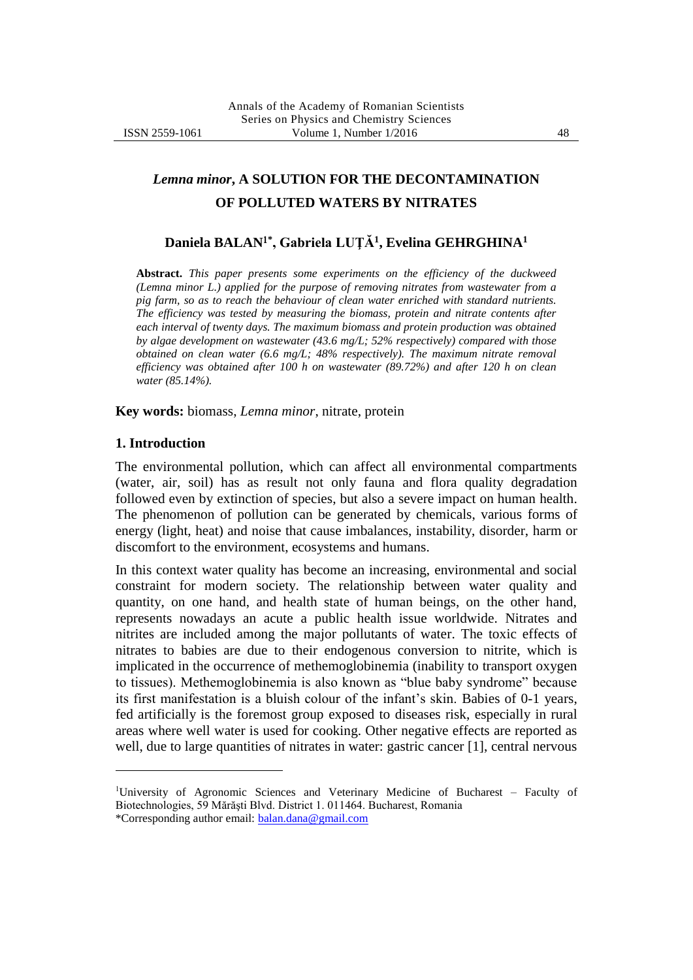# *Lemna minor***, A SOLUTION FOR THE DECONTAMINATION OF POLLUTED WATERS BY NITRATES**

## **Daniela BALAN\* , Gabriela LUŢĂ<sup>1</sup> , Evelina GEHRGHINA<sup>1</sup>**

**Abstract.** *This paper presents some experiments on the efficiency of the duckweed (Lemna minor L.) applied for the purpose of removing nitrates from wastewater from a pig farm, so as to reach the behaviour of clean water enriched with standard nutrients. The efficiency was tested by measuring the biomass, protein and nitrate contents after each interval of twenty days. The maximum biomass and protein production was obtained by algae development on wastewater (43.6 mg/L; 52% respectively) compared with those obtained on clean water (6.6 mg/L; 48% respectively). The maximum nitrate removal efficiency was obtained after 100 h on wastewater (89.72%) and after 120 h on clean water (85.14%).*

**Key words:** biomass, *Lemna minor*, nitrate, protein

#### **1. Introduction**

1

The environmental pollution, which can affect all environmental compartments (water, air, soil) has as result not only fauna and flora quality degradation followed even by extinction of species, but also a severe impact on human health. The phenomenon of pollution can be generated by chemicals, various forms of energy (light, heat) and noise that cause imbalances, instability, disorder, harm or discomfort to the environment, ecosystems and humans.

In this context water quality has become an increasing, environmental and social constraint for modern society. The relationship between water quality and quantity, on one hand, and health state of human beings, on the other hand, represents nowadays an acute a public health issue worldwide. Nitrates and nitrites are included among the major pollutants of water. The toxic effects of nitrates to babies are due to their endogenous conversion to nitrite, which is implicated in the occurrence of methemoglobinemia (inability to transport oxygen to tissues). Methemoglobinemia is also known as "blue baby syndrome" because its first manifestation is a bluish colour of the infant's skin. Babies of 0-1 years, fed artificially is the foremost group exposed to diseases risk, especially in rural areas where well water is used for cooking. Other negative effects are reported as well, due to large quantities of nitrates in water: gastric cancer [1], central nervous

University of Agronomic Sciences and Veterinary Medicine of Bucharest – Faculty of Biotechnologies, 59 Mărăşti Blvd. District 1. 011464. Bucharest, Romania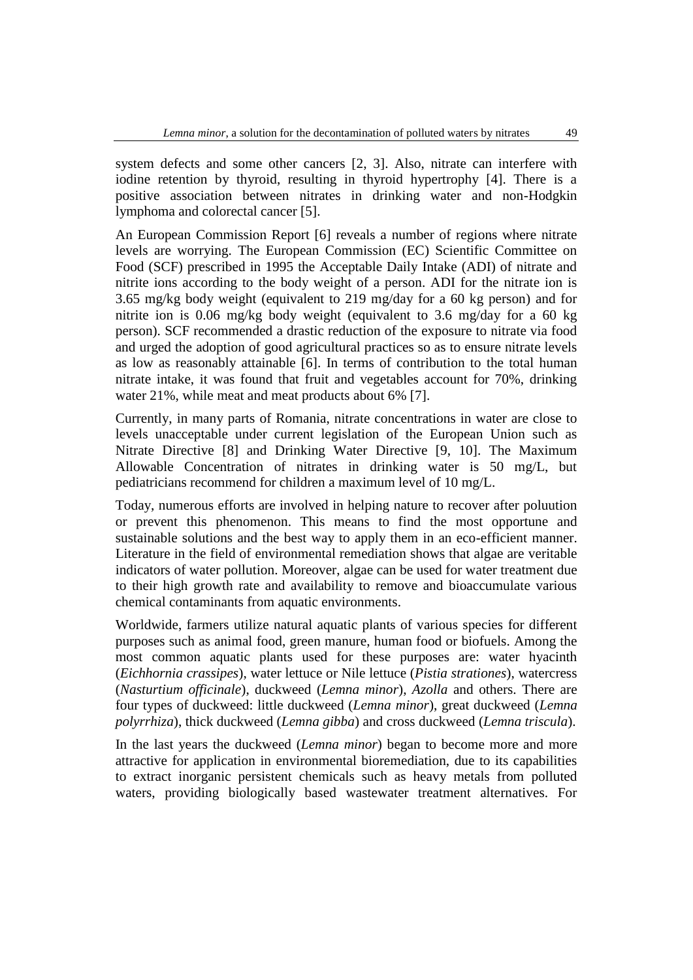system defects and some other cancers [2, 3]. Also, nitrate can interfere with iodine retention by thyroid, resulting in thyroid hypertrophy [4]. There is a positive association between nitrates in drinking water and non-Hodgkin lymphoma and colorectal cancer [5].

An European Commission Report [6] reveals a number of regions where nitrate levels are worrying. The European Commission (EC) Scientific Committee on Food (SCF) prescribed in 1995 the Acceptable Daily Intake (ADI) of nitrate and nitrite ions according to the body weight of a person. ADI for the nitrate ion is 3.65 mg/kg body weight (equivalent to 219 mg/day for a 60 kg person) and for nitrite ion is 0.06 mg/kg body weight (equivalent to 3.6 mg/day for a 60 kg person). SCF recommended a drastic reduction of the exposure to nitrate via food and urged the adoption of good agricultural practices so as to ensure nitrate levels as low as reasonably attainable [6]. In terms of contribution to the total human nitrate intake, it was found that fruit and vegetables account for 70%, drinking water 21%, while meat and meat products about 6% [7].

Currently, in many parts of Romania, nitrate concentrations in water are close to levels unacceptable under current legislation of the European Union such as Nitrate Directive [8] and Drinking Water Directive [9, 10]. The Maximum Allowable Concentration of nitrates in drinking water is 50 mg/L, but pediatricians recommend for children a maximum level of 10 mg/L.

Today, numerous efforts are involved in helping nature to recover after poluution or prevent this phenomenon. This means to find the most opportune and sustainable solutions and the best way to apply them in an eco-efficient manner. Literature in the field of environmental remediation shows that algae are veritable indicators of water pollution. Moreover, algae can be used for water treatment due to their high growth rate and availability to remove and bioaccumulate various chemical contaminants from aquatic environments.

Worldwide, farmers utilize natural aquatic plants of various species for different purposes such as animal food, green manure, human food or biofuels. Among the most common aquatic plants used for these purposes are: water hyacinth (*Eichhornia crassipes*), water lettuce or Nile lettuce (*Pistia strationes*), watercress (*Nasturtium officinale*), duckweed (*Lemna minor*), *Azolla* and others. There are four types of duckweed: little duckweed (*Lemna minor*), great duckweed (*Lemna polyrrhiza*), thick duckweed (*Lemna gibba*) and cross duckweed (*Lemna triscula*).

In the last years the duckweed (*Lemna minor*) began to become more and more attractive for application in environmental bioremediation, due to its capabilities to extract inorganic persistent chemicals such as heavy metals from polluted waters, providing biologically based wastewater treatment alternatives. For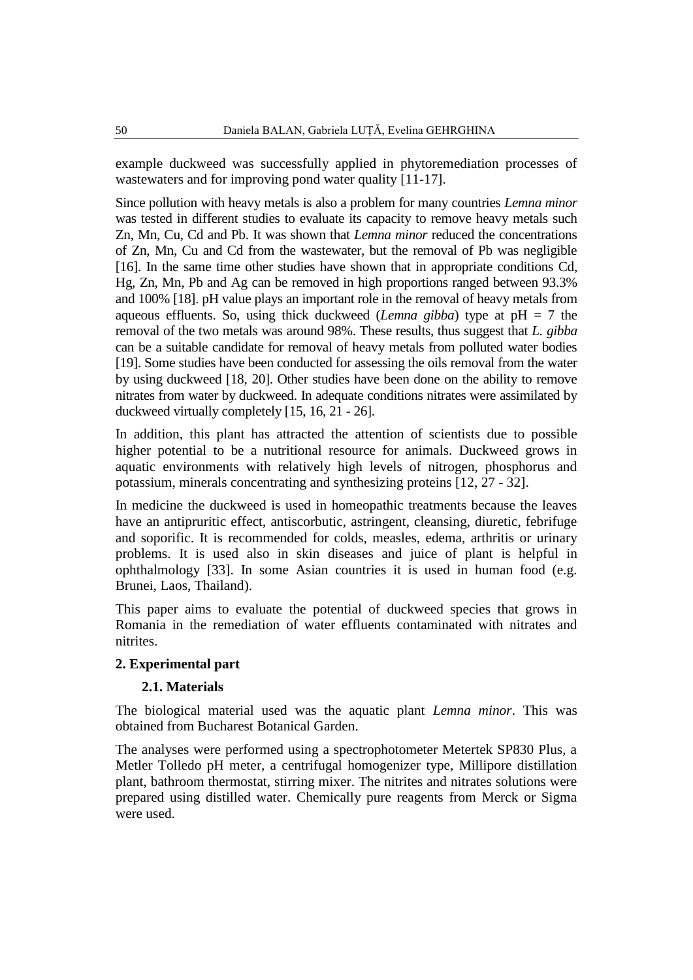example duckweed was successfully applied in phytoremediation processes of wastewaters and for improving pond water quality [11-17].

Since pollution with heavy metals is also a problem for many countries *Lemna minor* was tested in different studies to evaluate its capacity to remove heavy metals such Zn, Mn, Cu, Cd and Pb. It was shown that *Lemna minor* reduced the concentrations of Zn, Mn, Cu and Cd from the wastewater, but the removal of Pb was negligible [16]. In the same time other studies have shown that in appropriate conditions Cd, Hg, Zn, Mn, Pb and Ag can be removed in high proportions ranged between 93.3% and 100% [18]. pH value plays an important role in the removal of heavy metals from aqueous effluents. So, using thick duckweed (*Lemna gibba*) type at pH = 7 the removal of the two metals was around 98%. These results, thus suggest that *L. gibba* can be a suitable candidate for removal of heavy metals from polluted water bodies [19]. Some studies have been conducted for assessing the oils removal from the water by using duckweed [18, 20]. Other studies have been done on the ability to remove nitrates from water by duckweed. In adequate conditions nitrates were assimilated by duckweed virtually completely [15, 16, 21 - 26].

In addition, this plant has attracted the attention of scientists due to possible higher potential to be a nutritional resource for animals. Duckweed grows in aquatic environments with relatively high levels of nitrogen, phosphorus and potassium, minerals concentrating and synthesizing proteins [12, 27 - 32].

In medicine the duckweed is used in homeopathic treatments because the leaves have an antipruritic effect, antiscorbutic, astringent, cleansing, diuretic, febrifuge and soporific. It is recommended for colds, measles, edema, arthritis or urinary problems. It is used also in skin diseases and juice of plant is helpful in ophthalmology [33]. In some Asian countries it is used in human food (e.g. Brunei, Laos, Thailand).

This paper aims to evaluate the potential of duckweed species that grows in Romania in the remediation of water effluents contaminated with nitrates and nitrites.

## **2. Experimental part**

#### **2.1. Materials**

The biological material used was the aquatic plant *Lemna minor*. This was obtained from Bucharest Botanical Garden.

The analyses were performed using a spectrophotometer Metertek SP830 Plus, a Metler Tolledo pH meter, a centrifugal homogenizer type, Millipore distillation plant, bathroom thermostat, stirring mixer. The nitrites and nitrates solutions were prepared using distilled water. Chemically pure reagents from Merck or Sigma were used.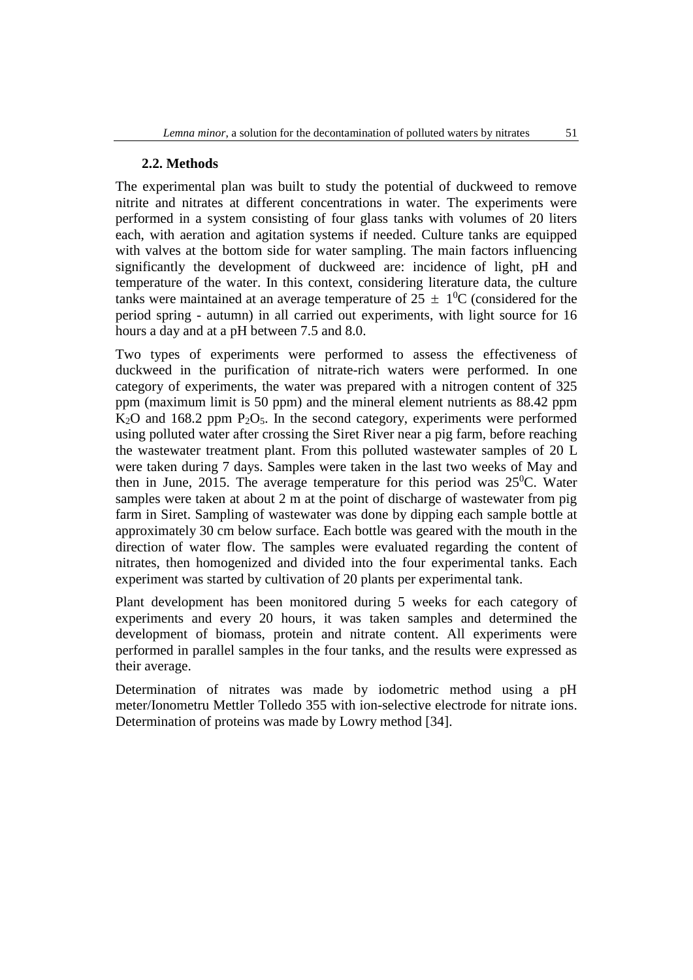## **2.2. Methods**

The experimental plan was built to study the potential of duckweed to remove nitrite and nitrates at different concentrations in water. The experiments were performed in a system consisting of four glass tanks with volumes of 20 liters each, with aeration and agitation systems if needed. Culture tanks are equipped with valves at the bottom side for water sampling. The main factors influencing significantly the development of duckweed are: incidence of light, pH and temperature of the water. In this context, considering literature data, the culture tanks were maintained at an average temperature of  $25 \pm 10^{\circ}\text{C}$  (considered for the period spring - autumn) in all carried out experiments, with light source for 16 hours a day and at a pH between 7.5 and 8.0.

Two types of experiments were performed to assess the effectiveness of duckweed in the purification of nitrate-rich waters were performed. In one category of experiments, the water was prepared with a nitrogen content of 325 ppm (maximum limit is 50 ppm) and the mineral element nutrients as 88.42 ppm  $K<sub>2</sub>O$  and 168.2 ppm  $P<sub>2</sub>O<sub>5</sub>$ . In the second category, experiments were performed using polluted water after crossing the Siret River near a pig farm, before reaching the wastewater treatment plant. From this polluted wastewater samples of 20 L were taken during 7 days. Samples were taken in the last two weeks of May and then in June, 2015. The average temperature for this period was  $25^{\circ}$ C. Water samples were taken at about 2 m at the point of discharge of wastewater from pig farm in Siret. Sampling of wastewater was done by dipping each sample bottle at approximately 30 cm below surface. Each bottle was geared with the mouth in the direction of water flow. The samples were evaluated regarding the content of nitrates, then homogenized and divided into the four experimental tanks. Each experiment was started by cultivation of 20 plants per experimental tank.

Plant development has been monitored during 5 weeks for each category of experiments and every 20 hours, it was taken samples and determined the development of biomass, protein and nitrate content. All experiments were performed in parallel samples in the four tanks, and the results were expressed as their average.

Determination of nitrates was made by iodometric method using a pH meter/Ionometru Mettler Tolledo 355 with ion-selective electrode for nitrate ions. Determination of proteins was made by Lowry method [34].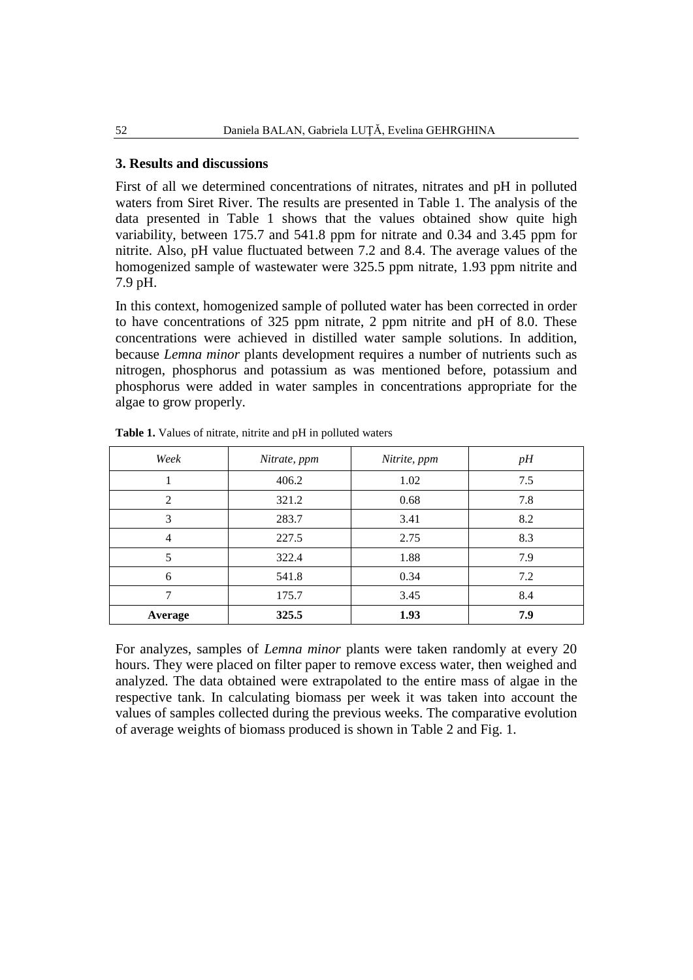## **3. Results and discussions**

First of all we determined concentrations of nitrates, nitrates and pH in polluted waters from Siret River. The results are presented in Table 1. The analysis of the data presented in Table 1 shows that the values obtained show quite high variability, between 175.7 and 541.8 ppm for nitrate and 0.34 and 3.45 ppm for nitrite. Also, pH value fluctuated between 7.2 and 8.4. The average values of the homogenized sample of wastewater were 325.5 ppm nitrate, 1.93 ppm nitrite and 7.9 pH.

In this context, homogenized sample of polluted water has been corrected in order to have concentrations of 325 ppm nitrate, 2 ppm nitrite and pH of 8.0. These concentrations were achieved in distilled water sample solutions. In addition, because *Lemna minor* plants development requires a number of nutrients such as nitrogen, phosphorus and potassium as was mentioned before, potassium and phosphorus were added in water samples in concentrations appropriate for the algae to grow properly.

| Week           | Nitrate, ppm | Nitrite, ppm | pH  |
|----------------|--------------|--------------|-----|
|                | 406.2        | 1.02         | 7.5 |
| $\mathfrak{D}$ | 321.2        | 0.68         | 7.8 |
| 3              | 283.7        | 3.41         | 8.2 |
| $\overline{4}$ | 227.5        | 2.75         | 8.3 |
| 5              | 322.4        | 1.88         | 7.9 |
| 6              | 541.8        | 0.34         | 7.2 |
| 7              | 175.7        | 3.45         | 8.4 |
| Average        | 325.5        | 1.93         | 7.9 |

**Table 1.** Values of nitrate, nitrite and pH in polluted waters

For analyzes, samples of *Lemna minor* plants were taken randomly at every 20 hours. They were placed on filter paper to remove excess water, then weighed and analyzed. The data obtained were extrapolated to the entire mass of algae in the respective tank. In calculating biomass per week it was taken into account the values of samples collected during the previous weeks. The comparative evolution of average weights of biomass produced is shown in Table 2 and Fig. 1.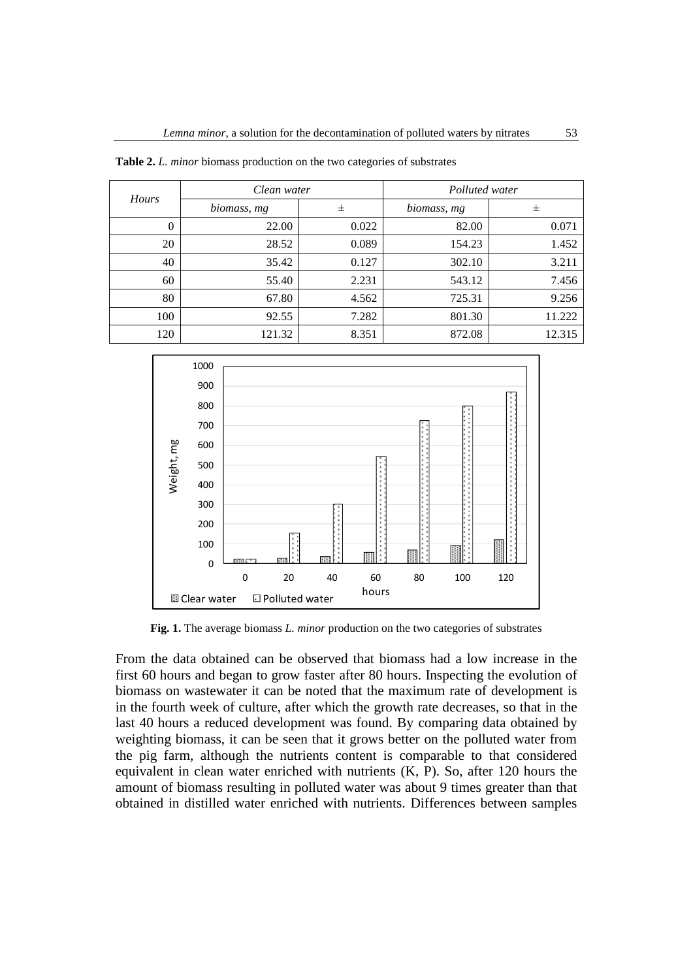| Hours    | Clean water |       | Polluted water |        |
|----------|-------------|-------|----------------|--------|
|          | biomass, mg | 士     | biomass, mg    | 士      |
| $\theta$ | 22.00       | 0.022 | 82.00          | 0.071  |
| 20       | 28.52       | 0.089 | 154.23         | 1.452  |
| 40       | 35.42       | 0.127 | 302.10         | 3.211  |
| 60       | 55.40       | 2.231 | 543.12         | 7.456  |
| 80       | 67.80       | 4.562 | 725.31         | 9.256  |
| 100      | 92.55       | 7.282 | 801.30         | 11.222 |
| 120      | 121.32      | 8.351 | 872.08         | 12.315 |

**Table 2.** *L. minor* biomass production on the two categories of substrates



**Fig. 1.** The average biomass *L. minor* production on the two categories of substrates

From the data obtained can be observed that biomass had a low increase in the first 60 hours and began to grow faster after 80 hours. Inspecting the evolution of biomass on wastewater it can be noted that the maximum rate of development is in the fourth week of culture, after which the growth rate decreases, so that in the last 40 hours a reduced development was found. By comparing data obtained by weighting biomass, it can be seen that it grows better on the polluted water from the pig farm, although the nutrients content is comparable to that considered equivalent in clean water enriched with nutrients (K, P). So, after 120 hours the amount of biomass resulting in polluted water was about 9 times greater than that obtained in distilled water enriched with nutrients. Differences between samples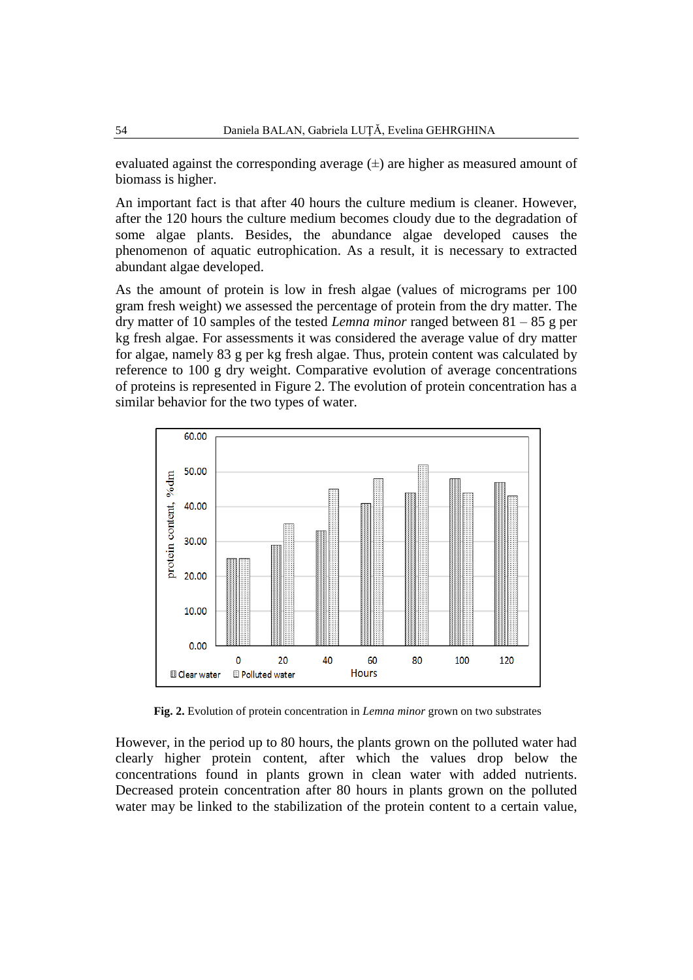evaluated against the corresponding average  $(\pm)$  are higher as measured amount of biomass is higher.

An important fact is that after 40 hours the culture medium is cleaner. However, after the 120 hours the culture medium becomes cloudy due to the degradation of some algae plants. Besides, the abundance algae developed causes the phenomenon of aquatic eutrophication. As a result, it is necessary to extracted abundant algae developed.

As the amount of protein is low in fresh algae (values of micrograms per 100 gram fresh weight) we assessed the percentage of protein from the dry matter. The dry matter of 10 samples of the tested *Lemna minor* ranged between 81 – 85 g per kg fresh algae. For assessments it was considered the average value of dry matter for algae, namely 83 g per kg fresh algae. Thus, protein content was calculated by reference to 100 g dry weight. Comparative evolution of average concentrations of proteins is represented in Figure 2. The evolution of protein concentration has a similar behavior for the two types of water.



**Fig. 2.** Evolution of protein concentration in *Lemna minor* grown on two substrates

However, in the period up to 80 hours, the plants grown on the polluted water had clearly higher protein content, after which the values drop below the concentrations found in plants grown in clean water with added nutrients. Decreased protein concentration after 80 hours in plants grown on the polluted water may be linked to the stabilization of the protein content to a certain value,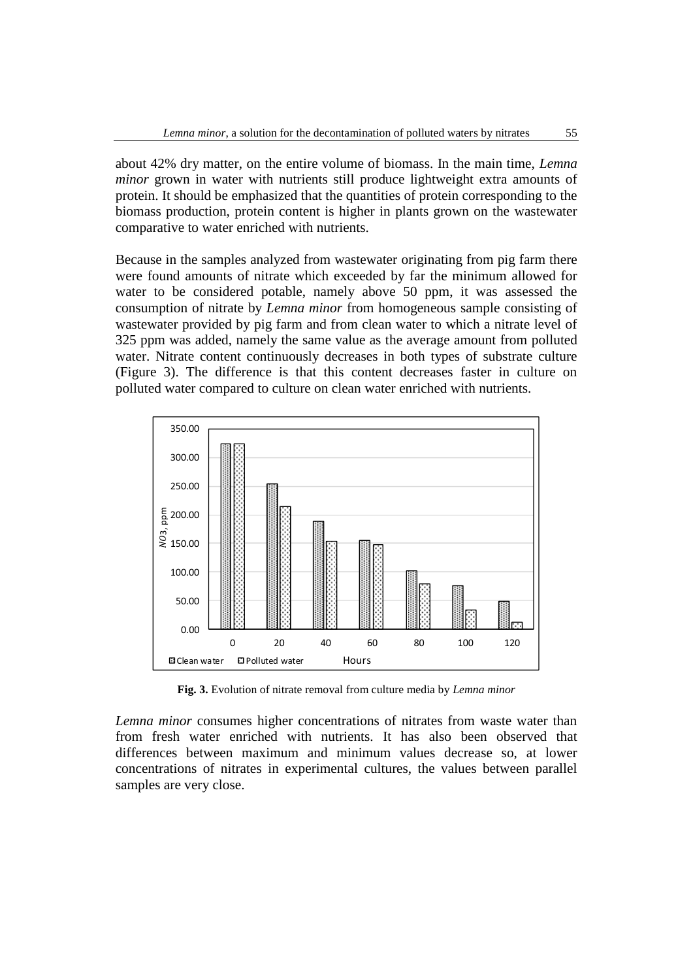about 42% dry matter, on the entire volume of biomass. In the main time, *Lemna minor* grown in water with nutrients still produce lightweight extra amounts of protein. It should be emphasized that the quantities of protein corresponding to the biomass production, protein content is higher in plants grown on the wastewater comparative to water enriched with nutrients.

Because in the samples analyzed from wastewater originating from pig farm there were found amounts of nitrate which exceeded by far the minimum allowed for water to be considered potable, namely above 50 ppm, it was assessed the consumption of nitrate by *Lemna minor* from homogeneous sample consisting of wastewater provided by pig farm and from clean water to which a nitrate level of 325 ppm was added, namely the same value as the average amount from polluted water. Nitrate content continuously decreases in both types of substrate culture (Figure 3). The difference is that this content decreases faster in culture on polluted water compared to culture on clean water enriched with nutrients.



**Fig. 3.** Evolution of nitrate removal from culture media by *Lemna minor*

*Lemna minor* consumes higher concentrations of nitrates from waste water than from fresh water enriched with nutrients. It has also been observed that differences between maximum and minimum values decrease so, at lower concentrations of nitrates in experimental cultures, the values between parallel samples are very close.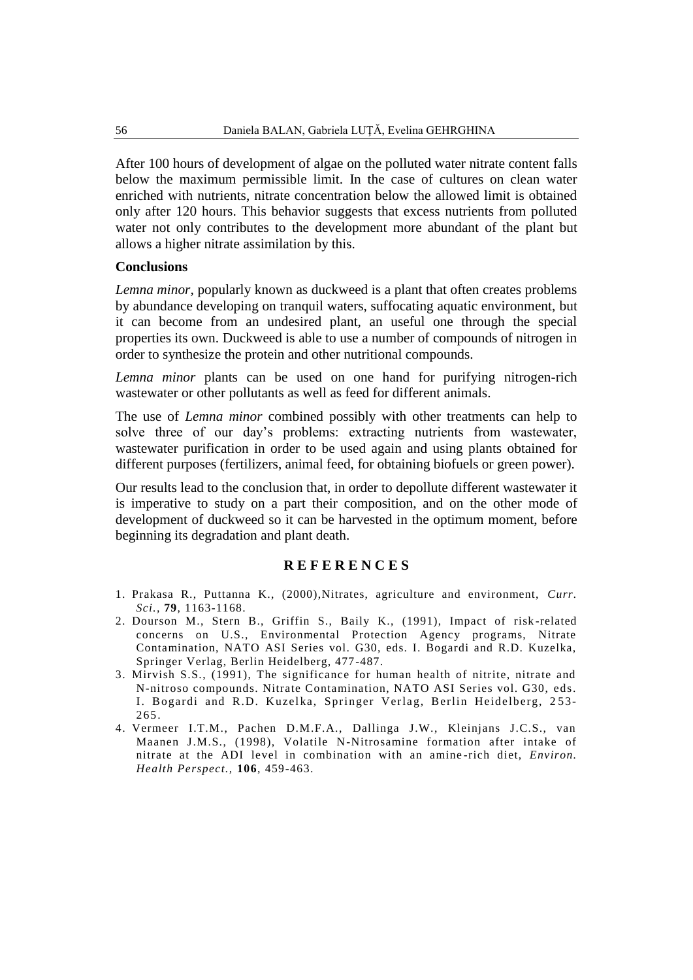After 100 hours of development of algae on the polluted water nitrate content falls below the maximum permissible limit. In the case of cultures on clean water enriched with nutrients, nitrate concentration below the allowed limit is obtained only after 120 hours. This behavior suggests that excess nutrients from polluted water not only contributes to the development more abundant of the plant but allows a higher nitrate assimilation by this.

#### **Conclusions**

*Lemna minor,* popularly known as duckweed is a plant that often creates problems by abundance developing on tranquil waters, suffocating aquatic environment, but it can become from an undesired plant, an useful one through the special properties its own. Duckweed is able to use a number of compounds of nitrogen in order to synthesize the protein and other nutritional compounds.

*Lemna minor* plants can be used on one hand for purifying nitrogen-rich wastewater or other pollutants as well as feed for different animals.

The use of *Lemna minor* combined possibly with other treatments can help to solve three of our day's problems: extracting nutrients from wastewater, wastewater purification in order to be used again and using plants obtained for different purposes (fertilizers, animal feed, for obtaining biofuels or green power).

Our results lead to the conclusion that, in order to depollute different wastewater it is imperative to study on a part their composition, and on the other mode of development of duckweed so it can be harvested in the optimum moment, before beginning its degradation and plant death.

#### **R E F E R E N C E S**

- 1. Prakasa R., Puttanna K., (2000),Nitrates, agriculture and environment, *Curr. Sci.,* **79**, 1163-1168.
- 2. Dourson M., Stern B., Griffin S., Baily K., (1991), Impact of risk -related concerns on U.S., Environmental Protection Agency programs, Nitrate Contamination, NATO ASI Series vol. G30, eds. I. Bogardi and R.D. Kuzelka, Springer Verlag, Berlin Heidelberg, 477-487.
- 3. Mirvish S.S., (1991), The significance for human health of nitrite, nitrate and N-nitroso compounds. Nitrate Contamination, NATO ASI Series vol. G30, eds. I. Bogardi and R.D. Kuzelka, Springer Verlag, Berlin Heidelberg, 253-265.
- 4. Vermeer I.T.M., Pachen D.M.F.A., Dallinga J.W., Kleinjans J.C.S., van Maanen J.M.S., (1998), Volatile N-Nitrosamine formation after intake of nitrate at the ADI level in combination with an amine -rich diet, *Environ. Health Perspect.,* **106**, 459-463.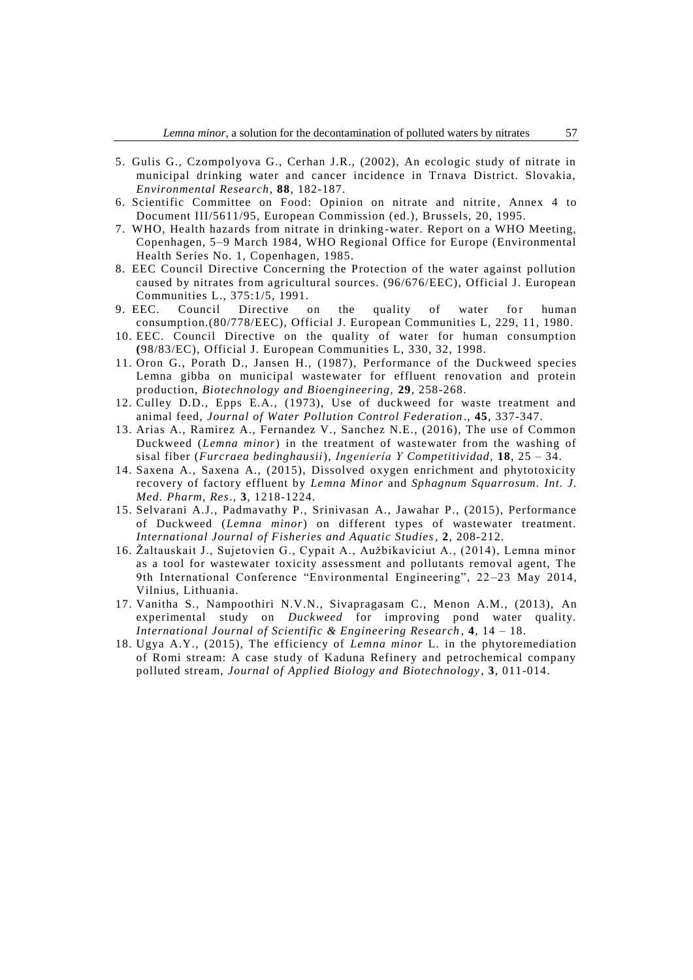- 5. Gulis G., Czompolyova G., Cerhan J.R., (2002), An ecologic study of nitrate in municipal drinking water and cancer incidence in Trnava District. Slovakia, *Environmental Research*, **88**, 182-187.
- 6. Scientific Committee on Food: Opinion on nitrate and nitrite, Annex 4 to Document III/5611/95, European Commission (ed.), Brussels, 20, 1995.
- 7. WHO, Health hazards from nitrate in drinking -water. Report on a WHO Meeting, Copenhagen, 5–9 March 1984, WHO Regional Office for Europe (Environmental Health Series No. 1, Copenhagen, 1985.
- 8. EEC Council Directive Concerning the Protection of the water against pollution caused by nitrates from agricultural sources. (96/676/EEC), Official J. European Communities L., 375:1/5, 1991.
- 9. EEC. Council Directive on the quality of water for human consumption.(80/778/EEC), Official J. European Communities L, 229, 11, 1980.
- 10. EEC. Council Directive on the quality of water for human consumption **(**98/83/EC), Official J. European Communities L, 330, 32, 1998.
- 11. Oron G., Porath D., Jansen H., (1987), Performance of the Duckweed species Lemna gibba on municipal wastewater for effluent renovation and protein production, *Biotechnology and Bioengineering,* **29**, 258-268.
- 12. Culley D.D., Epps E.A., (1973), Use of duckweed for waste treatment and animal feed, *Journal of Water Pollution Control Federation* ., **45**, 337-347.
- 13. Arias A., Ramirez A., Fernandez V., Sanchez N.E., (2016), The use of Common Duckweed (*Lemna minor*) in the treatment of wastewater from the washing of sisal fiber (*Furcraea bedinghausii*), *Ingeniería Y Competitividad,* **18**, 25 – 34.
- 14. Saxena A., Saxena A., (2015), Dissolved oxygen enrichment and phytotoxicity recovery of factory effluent by *Lemna Minor* and *Sphagnum Squarrosum. Int. J. Med. Pharm, Res*., **3**, 1218-1224.
- 15. Selvarani A.J., Padmavathy P., Srinivasan A., Jawahar P., (2015), Performance of Duckweed (*Lemna minor*) on different types of wastewater treatment. *International Journal of Fisheries and Aquatic Studies*, **2**, 208-212.
- 16. Žaltauskait J., Sujetovien G., Cypait A., Aužbikaviciut A., (2014), Lemna minor as a tool for wastewater toxicity assessment and pollutants removal agent, The 9th International Conference "Environmental Engineering", 22-23 May 2014, Vilnius, Lithuania.
- 17. Vanitha S., Nampoothiri N.V.N., Sivapragasam C., Menon A.M., (2013), An experimental study on *Duckweed* for improving pond water quality. *International Journal of Scientific & Engineering Research* , **4**, 14 – 18.
- 18. Ugya A.Y., (2015), The efficiency of *Lemna minor* L. in the phytoremediation of Romi stream: A case study of Kaduna Refinery and petrochemical company polluted stream, *Journal of Applied Biology and Biotechnology* , **3**, 011-014.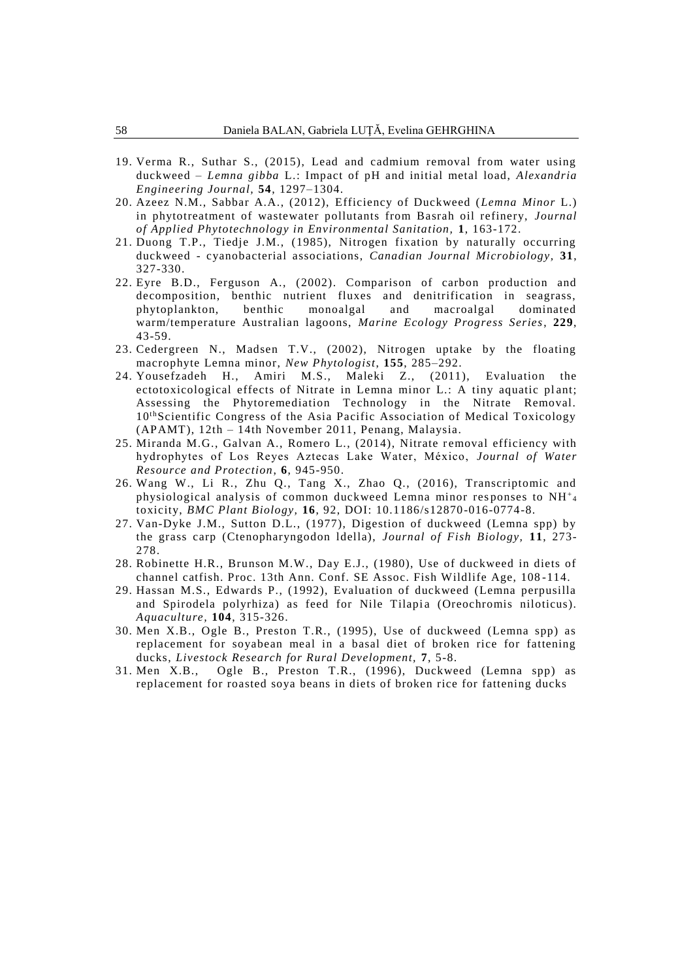- 19. Verma R., Suthar S., (2015), Lead and cadmium removal from water using duckweed – *Lemna gibba* L.: Impact of pH and initial metal load, *Alexandria Engineering Journal,* **54**, 1297–1304.
- 20. Azeez N.M., Sabbar A.A., (2012), Efficiency of Duckweed (*Lemna Minor* L.) in phytotreatment of wastewater pollutants from Basrah oil refinery, *Journal of Applied Phytotechnology in Environmental Sanitation,* **1**, 163-172.
- 21. Duong T.P., Tiedje J.M., (1985), Nitrogen fixation by naturally occurring duckweed - cyanobacterial associations, *Canadian Journal Microbiology,* **31**, 327-330.
- 22. Eyre B.D., Ferguson A., (2002). Comparison of carbon production and decomposition, benthic nutrient fluxes and denitrification in seagrass, phytoplankton, benthic monoalgal and macroalgal dominated warm/temperature Australian lagoons, *Marine Ecology Progress Series*, **229**, 43-59.
- 23. Cedergreen N., Madsen T.V., (2002), Nitrogen uptake by the floating macrophyte Lemna minor, *New Phytologist*, **155**, 285–292.
- 24. Yousefzadeh H., Amiri M.S., Maleki Z., (2011), Evaluation the ectotoxicological effects of Nitrate in Lemna minor L.: A tiny aquatic plant; Assessing the Phytoremediation Technology in the Nitrate Removal. 10<sup>th</sup> Scientific Congress of the Asia Pacific Association of Medical Toxicology (APAMT), 12th – 14th November 2011, Penang, Malaysia.
- 25. Miranda M.G., Galvan A., Romero L., (2014), Nitrate removal efficiency with hydrophytes of Los Reyes Aztecas Lake Water, México, *Journal of Water Resource and Protection*, **6**, 945-950.
- 26. Wang W., Li R., Zhu Q., Tang X., Zhao Q., (2016), Transcriptomic and physiological analysis of common duckweed Lemna minor responses to  $\mathrm{NH}^+_\mathrm{4}$ toxicity, *BMC Plant Biology,* **16**, 92, DOI: 10.1186/s12870-016-0774-8.
- 27. Van-Dyke J.M., Sutton D.L., (1977), Digestion of duckweed (Lemna spp) by the grass carp (Ctenopharyngodon ldella), *Journal of Fish Biology,* **11**, 273- 278.
- 28. Robinette H.R., Brunson M.W., Day E.J., (1980), Use of duckweed in diets of channel catfish. Proc. 13th Ann. Conf. SE Assoc. Fish Wildlife Age, 108 -114.
- 29. Hassan M.S., Edwards P., (1992), Evaluation of duckweed (Lemna perpusilla and Spirodela polyrhiza) as feed for Nile Tilapia (Oreochromis niloticus). *Aquaculture,* **104**, 315-326.
- 30. Men X.B., Ogle B., Preston T.R., (1995), Use of duckweed (Lemna spp) as replacement for soyabean meal in a basal diet of broken rice for fattening ducks, *Livestock Research for Rural Development,* **7**, 5-8.
- 31. Men X.B., Ogle B., Preston T.R., (1996), Duckweed (Lemna spp) as replacement for roasted soya beans in diets of broken rice for fattening ducks